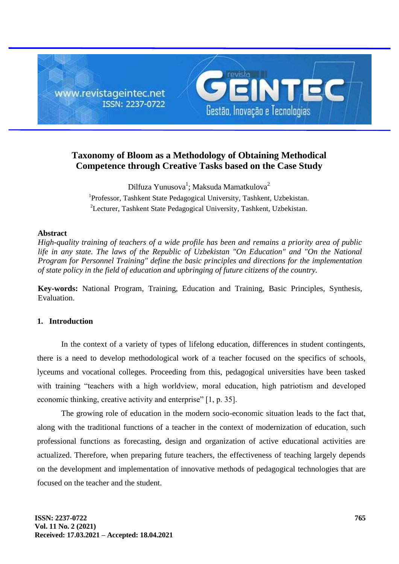

# **Taxonomy of Bloom as a Methodology of Obtaining Methodical Competence through Creative Tasks based on the Case Study**

Dilfuza Yunusova $^{\rm l}$ ; Maksuda Mamatkulova $^{\rm 2}$ <sup>1</sup>Professor, Tashkent State Pedagogical University, Tashkent, Uzbekistan. <sup>2</sup>Lecturer, Tashkent State Pedagogical University, Tashkent, Uzbekistan.

### **Abstract**

*High-quality training of teachers of a wide profile has been and remains a priority area of public life in any state. The laws of the Republic of Uzbekistan "On Education" and "On the National Program for Personnel Training" define the basic principles and directions for the implementation of state policy in the field of education and upbringing of future citizens of the country.*

**Key-words:** National Program, Training, Education and Training, Basic Principles, Synthesis, Evaluation.

#### **1. Introduction**

In the context of a variety of types of lifelong education, differences in student contingents, there is a need to develop methodological work of a teacher focused on the specifics of schools, lyceums and vocational colleges. Proceeding from this, pedagogical universities have been tasked with training "teachers with a high worldview, moral education, high patriotism and developed economic thinking, creative activity and enterprise" [1, p. 35].

The growing role of education in the modern socio-economic situation leads to the fact that, along with the traditional functions of a teacher in the context of modernization of education, such professional functions as forecasting, design and organization of active educational activities are actualized. Therefore, when preparing future teachers, the effectiveness of teaching largely depends on the development and implementation of innovative methods of pedagogical technologies that are focused on the teacher and the student.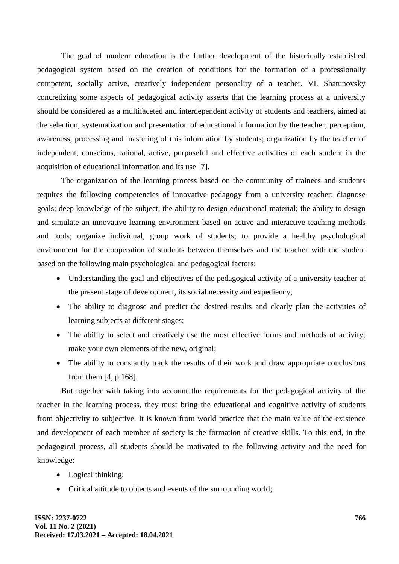The goal of modern education is the further development of the historically established pedagogical system based on the creation of conditions for the formation of a professionally competent, socially active, creatively independent personality of a teacher. VL Shatunovsky concretizing some aspects of pedagogical activity asserts that the learning process at a university should be considered as a multifaceted and interdependent activity of students and teachers, aimed at the selection, systematization and presentation of educational information by the teacher; perception, awareness, processing and mastering of this information by students; organization by the teacher of independent, conscious, rational, active, purposeful and effective activities of each student in the acquisition of educational information and its use [7].

The organization of the learning process based on the community of trainees and students requires the following competencies of innovative pedagogy from a university teacher: diagnose goals; deep knowledge of the subject; the ability to design educational material; the ability to design and simulate an innovative learning environment based on active and interactive teaching methods and tools; organize individual, group work of students; to provide a healthy psychological environment for the cooperation of students between themselves and the teacher with the student based on the following main psychological and pedagogical factors:

- Understanding the goal and objectives of the pedagogical activity of a university teacher at the present stage of development, its social necessity and expediency;
- The ability to diagnose and predict the desired results and clearly plan the activities of learning subjects at different stages;
- The ability to select and creatively use the most effective forms and methods of activity; make your own elements of the new, original;
- The ability to constantly track the results of their work and draw appropriate conclusions from them [4, p.168].

But together with taking into account the requirements for the pedagogical activity of the teacher in the learning process, they must bring the educational and cognitive activity of students from objectivity to subjective. It is known from world practice that the main value of the existence and development of each member of society is the formation of creative skills. To this end, in the pedagogical process, all students should be motivated to the following activity and the need for knowledge:

- Logical thinking;
- Critical attitude to objects and events of the surrounding world;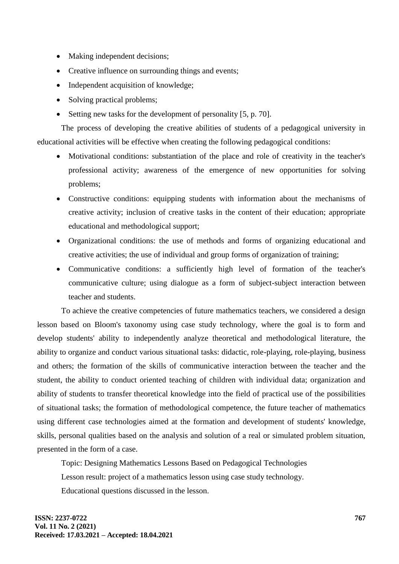- Making independent decisions:
- Creative influence on surrounding things and events;
- Independent acquisition of knowledge;
- Solving practical problems;
- Setting new tasks for the development of personality [5, p. 70].

The process of developing the creative abilities of students of a pedagogical university in educational activities will be effective when creating the following pedagogical conditions:

- Motivational conditions: substantiation of the place and role of creativity in the teacher's professional activity; awareness of the emergence of new opportunities for solving problems;
- Constructive conditions: equipping students with information about the mechanisms of creative activity; inclusion of creative tasks in the content of their education; appropriate educational and methodological support;
- Organizational conditions: the use of methods and forms of organizing educational and creative activities; the use of individual and group forms of organization of training;
- Communicative conditions: a sufficiently high level of formation of the teacher's communicative culture; using dialogue as a form of subject-subject interaction between teacher and students.

To achieve the creative competencies of future mathematics teachers, we considered a design lesson based on Bloom's taxonomy using case study technology, where the goal is to form and develop students' ability to independently analyze theoretical and methodological literature, the ability to organize and conduct various situational tasks: didactic, role-playing, role-playing, business and others; the formation of the skills of communicative interaction between the teacher and the student, the ability to conduct oriented teaching of children with individual data; organization and ability of students to transfer theoretical knowledge into the field of practical use of the possibilities of situational tasks; the formation of methodological competence, the future teacher of mathematics using different case technologies aimed at the formation and development of students' knowledge, skills, personal qualities based on the analysis and solution of a real or simulated problem situation, presented in the form of a case.

Topic: Designing Mathematics Lessons Based on Pedagogical Technologies Lesson result: project of a mathematics lesson using case study technology. Educational questions discussed in the lesson.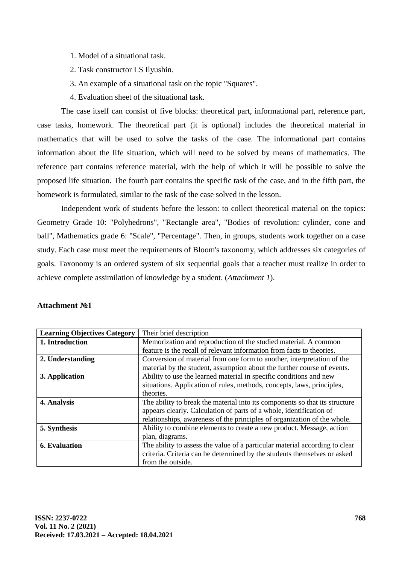- 1. Model of a situational task.
- 2. Task constructor LS Ilyushin.
- 3. An example of a situational task on the topic "Squares".
- 4. Evaluation sheet of the situational task.

The case itself can consist of five blocks: theoretical part, informational part, reference part, case tasks, homework. The theoretical part (it is optional) includes the theoretical material in mathematics that will be used to solve the tasks of the case. The informational part contains information about the life situation, which will need to be solved by means of mathematics. The reference part contains reference material, with the help of which it will be possible to solve the proposed life situation. The fourth part contains the specific task of the case, and in the fifth part, the homework is formulated, similar to the task of the case solved in the lesson.

Independent work of students before the lesson: to collect theoretical material on the topics: Geometry Grade 10: "Polyhedrons", "Rectangle area", "Bodies of revolution: cylinder, cone and ball", Mathematics grade 6: "Scale", "Percentage". Then, in groups, students work together on a case study. Each case must meet the requirements of Bloom's taxonomy, which addresses six categories of goals. Taxonomy is an ordered system of six sequential goals that a teacher must realize in order to achieve complete assimilation of knowledge by a student. (*[Attachment 1](https://urok.1sept.ru/%D1%81%D1%82%D0%B0%D1%82%D1%8C%D0%B8/674833/pril1.docx)*).

| <b>Learning Objectives Category</b> | Their brief description                                                                                                                                                                                                        |
|-------------------------------------|--------------------------------------------------------------------------------------------------------------------------------------------------------------------------------------------------------------------------------|
| 1. Introduction                     | Memorization and reproduction of the studied material. A common                                                                                                                                                                |
|                                     | feature is the recall of relevant information from facts to theories.                                                                                                                                                          |
| 2. Understanding                    | Conversion of material from one form to another, interpretation of the<br>material by the student, assumption about the further course of events.                                                                              |
| 3. Application                      | Ability to use the learned material in specific conditions and new<br>situations. Application of rules, methods, concepts, laws, principles,<br>theories.                                                                      |
| 4. Analysis                         | The ability to break the material into its components so that its structure<br>appears clearly. Calculation of parts of a whole, identification of<br>relationships, awareness of the principles of organization of the whole. |
| 5. Synthesis                        | Ability to combine elements to create a new product. Message, action<br>plan, diagrams.                                                                                                                                        |
| <b>6.</b> Evaluation                | The ability to assess the value of a particular material according to clear<br>criteria. Criteria can be determined by the students themselves or asked<br>from the outside.                                                   |

### **Attachment №1**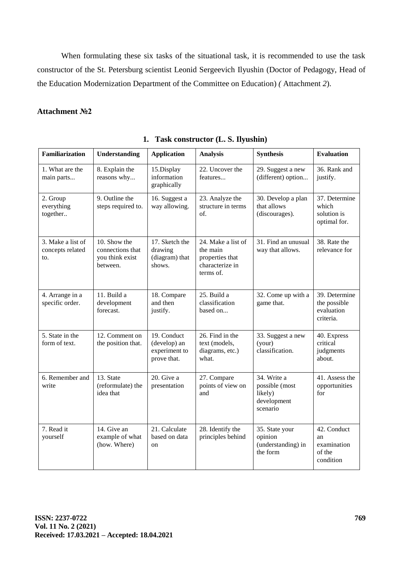When formulating these six tasks of the situational task, it is recommended to use the task constructor of the St. Petersburg scientist Leonid Sergeevich Ilyushin (Doctor of Pedagogy, Head of the Education Modernization Department of the Committee on Education) *(* [Attachment](https://urok.1sept.ru/%D1%81%D1%82%D0%B0%D1%82%D1%8C%D0%B8/674833/pril2.docx) *2*).

### **Attachment №2**

| <b>Familiarization</b>                       | <b>Understanding</b>                                            | <b>Application</b>                                          | <b>Analysis</b>                                                                   | <b>Synthesis</b>                                                    | <b>Evaluation</b>                                        |  |  |  |
|----------------------------------------------|-----------------------------------------------------------------|-------------------------------------------------------------|-----------------------------------------------------------------------------------|---------------------------------------------------------------------|----------------------------------------------------------|--|--|--|
| 1. What are the<br>main parts                | 8. Explain the<br>reasons why                                   | 15.Display<br>information<br>graphically                    | 22. Uncover the<br>features                                                       | 29. Suggest a new<br>(different) option                             | 36. Rank and<br>justify.                                 |  |  |  |
| 2. Group<br>everything<br>together           | 9. Outline the<br>steps required to.                            | 16. Suggest a<br>way allowing.                              | 23. Analyze the<br>structure in terms<br>of.                                      | 30. Develop a plan<br>that allows<br>(discourages).                 |                                                          |  |  |  |
| 3. Make a list of<br>concepts related<br>to. | 10. Show the<br>connections that<br>you think exist<br>between. | 17. Sketch the<br>drawing<br>(diagram) that<br>shows.       | 24. Make a list of<br>the main<br>properties that<br>characterize in<br>terms of. | 31. Find an unusual<br>way that allows.                             | 38. Rate the<br>relevance for                            |  |  |  |
| 4. Arrange in a<br>specific order.           | 11. Build a<br>development<br>forecast.                         | 18. Compare<br>and then<br>justify.                         | 25. Build a<br>classification<br>based on                                         | 32. Come up with a<br>game that.                                    | 39. Determine<br>the possible<br>evaluation<br>criteria. |  |  |  |
| 5. State in the<br>form of text.             | 12. Comment on<br>the position that.                            | 19. Conduct<br>(develop) an<br>experiment to<br>prove that. | 26. Find in the<br>text (models,<br>diagrams, etc.)<br>what.                      | 33. Suggest a new<br>(your)<br>classification.                      | 40. Express<br>critical<br>judgments<br>about.           |  |  |  |
| 6. Remember and<br>write                     | 13. State<br>(reformulate) the<br>idea that                     | 20. Give a<br>presentation                                  | 27. Compare<br>points of view on<br>and                                           | 34. Write a<br>possible (most<br>likely)<br>development<br>scenario | 41. Assess the<br>opportunities<br>for                   |  |  |  |
| 7. Read it<br>yourself                       | 14. Give an<br>example of what<br>(how. Where)                  | 21. Calculate<br>based on data<br>on                        | 28. Identify the<br>principles behind                                             | 35. State your<br>opinion<br>(understanding) in<br>the form         | 42. Conduct<br>an<br>examination<br>of the<br>condition  |  |  |  |

## **1. Task constructor (L. S. Ilyushin)**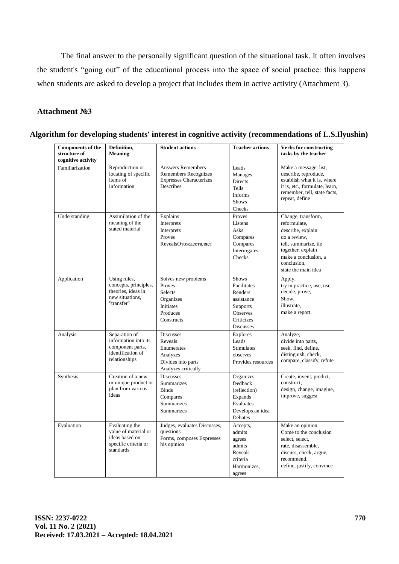The final answer to the personally significant question of the situational task. It often involves the student's "going out" of the educational process into the space of social practice: this happens when students are asked to develop a project that includes them in active activity (Attachment 3).

## **Attachment №3**

| <b>Components of the</b><br>structure of<br>cognitive activity | Definition,<br><b>Meaning</b>                                                                   | <b>Student actions</b>                                                                                 | <b>Teacher actions</b>                                                                                         | <b>Verbs for constructing</b><br>tasks by the teacher                                                                                                                              |  |  |  |
|----------------------------------------------------------------|-------------------------------------------------------------------------------------------------|--------------------------------------------------------------------------------------------------------|----------------------------------------------------------------------------------------------------------------|------------------------------------------------------------------------------------------------------------------------------------------------------------------------------------|--|--|--|
| Familiarization                                                | Reproduction or<br>locating of specific<br>items of<br>information                              | <b>Answers Remembers</b><br><b>Remembers Recognizes</b><br><b>Expresses Characterizes</b><br>Describes | Leads<br>Manages<br>Directs<br>Tells<br><b>Informs</b><br><b>Shows</b><br>Checks                               | Make a message, list,<br>describe, reproduce,<br>establish what it is, where<br>it is, etc., formulate, learn,<br>remember, tell, state facts,<br>repeat, define                   |  |  |  |
| Understanding                                                  | Assimilation of the<br>meaning of the<br>stated material                                        | Explains<br>Interprets<br>Interprets<br>Proves<br>RevealsОтождествляет                                 | Proves<br>Listens<br>Asks<br>Compares<br>Compares<br>Interrogates<br>Checks                                    | Change, transform,<br>reformulate.<br>describe, explain<br>do a review,<br>tell, summarize, tie<br>together, explain<br>make a conclusion, a<br>conclusion,<br>state the main idea |  |  |  |
| Application                                                    | Using rules,<br>concepts, principles,<br>theories, ideas in<br>new situations.<br>"transfer"    | Solves new problems<br>Proves<br><b>Selects</b><br>Organizes<br>Initiates<br>Produces<br>Constructs    | <b>Shows</b><br>Facilitates<br>Renders<br>assistance<br><b>Supports</b><br>Observes<br>Criticizes<br>Discusses | Apply,<br>try in practice, use, use,<br>decide, prove,<br>Show,<br>illustrate,<br>make a report.                                                                                   |  |  |  |
| Analysis                                                       | Separation of<br>information into its<br>component parts,<br>identification of<br>relationships | <b>Discusses</b><br>Reveals<br>Enumerates<br>Analyzes<br>Divides into parts<br>Analyzes critically     | <b>Explores</b><br>Leads<br><b>Stimulates</b><br>observes<br>Provides resources                                | Analyze,<br>divide into parts,<br>seek, find, define,<br>distinguish, check,<br>compare, classify, refute                                                                          |  |  |  |
| Synthesis                                                      | Creation of a new<br>or unique product or<br>plan from various<br>ideas                         | <b>Discusses</b><br><b>Summarizes</b><br><b>Binds</b><br>Compares<br>Summarizes<br><b>Summarizes</b>   | Organizes<br>feedback<br>(reflection)<br>Expands<br>Evaluates<br>Develops an idea<br>Debates                   | Create, invent, predict,<br>construct,<br>design, change, imagine,<br>improve, suggest                                                                                             |  |  |  |
| Evaluation                                                     | Evaluating the<br>value of material or<br>ideas based on<br>specific criteria or<br>standards   | Judges, evaluates Discusses,<br>questions<br>Forms, composes Expresses<br>his opinion                  | Accepts,<br>admits<br>agrees<br>admits<br>Reveals<br>criteria<br>Harmonizes,<br>agrees                         | Make an opinion<br>Come to the conclusion<br>select, select,<br>rate, disassemble,<br>discuss, check, argue,<br>recommend,<br>define, justify, convince                            |  |  |  |

### **Algorithm for developing students' interest in cognitive activity (recommendations of L.S.Ilyushin)**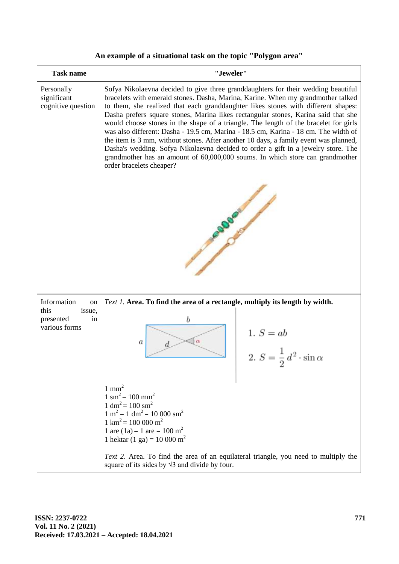# **An example of a situational task on the topic "Polygon area"**

| <b>Task name</b>                                   | "Jeweler"                                                                                                                                                                                                                                                                                                                                                                                                                                                                                                                                                                                                                                                                                                                                                                                                                 |                                                          |  |  |  |  |  |  |
|----------------------------------------------------|---------------------------------------------------------------------------------------------------------------------------------------------------------------------------------------------------------------------------------------------------------------------------------------------------------------------------------------------------------------------------------------------------------------------------------------------------------------------------------------------------------------------------------------------------------------------------------------------------------------------------------------------------------------------------------------------------------------------------------------------------------------------------------------------------------------------------|----------------------------------------------------------|--|--|--|--|--|--|
| Personally<br>significant<br>cognitive question    | Sofya Nikolaevna decided to give three granddaughters for their wedding beautiful<br>bracelets with emerald stones. Dasha, Marina, Karine. When my grandmother talked<br>to them, she realized that each granddaughter likes stones with different shapes:<br>Dasha prefers square stones, Marina likes rectangular stones, Karina said that she<br>would choose stones in the shape of a triangle. The length of the bracelet for girls<br>was also different: Dasha - 19.5 cm, Marina - 18.5 cm, Karina - 18 cm. The width of<br>the item is 3 mm, without stones. After another 10 days, a family event was planned,<br>Dasha's wedding. Sofya Nikolaevna decided to order a gift in a jewelry store. The<br>grandmother has an amount of 60,000,000 soums. In which store can grandmother<br>order bracelets cheaper? |                                                          |  |  |  |  |  |  |
|                                                    |                                                                                                                                                                                                                                                                                                                                                                                                                                                                                                                                                                                                                                                                                                                                                                                                                           |                                                          |  |  |  |  |  |  |
| Information<br>on                                  | Text 1. Area. To find the area of a rectangle, multiply its length by width.                                                                                                                                                                                                                                                                                                                                                                                                                                                                                                                                                                                                                                                                                                                                              |                                                          |  |  |  |  |  |  |
| this<br>issue,<br>presented<br>in<br>various forms | b<br>$\alpha$<br>a                                                                                                                                                                                                                                                                                                                                                                                                                                                                                                                                                                                                                                                                                                                                                                                                        | 1. $S = ab$<br>2. $S = \frac{1}{2}d^2 \cdot \sin \alpha$ |  |  |  |  |  |  |
|                                                    | $1 \text{ mm}^2$<br>$1 \text{ sm}^2 = 100 \text{ mm}^2$<br>$1 \text{ dm}^2 = 100 \text{ sm}^2$<br>$1 m2 = 1 dm2 = 10 000 sm2$<br>$1 \text{ km}^2$ = 100 000 m <sup>2</sup><br>1 are $(1a) = 1$ are $= 100$ m <sup>2</sup><br>1 hektar (1 ga) = 10 000 m <sup>2</sup>                                                                                                                                                                                                                                                                                                                                                                                                                                                                                                                                                      |                                                          |  |  |  |  |  |  |
|                                                    | Text 2. Area. To find the area of an equilateral triangle, you need to multiply the<br>square of its sides by $\sqrt{3}$ and divide by four.                                                                                                                                                                                                                                                                                                                                                                                                                                                                                                                                                                                                                                                                              |                                                          |  |  |  |  |  |  |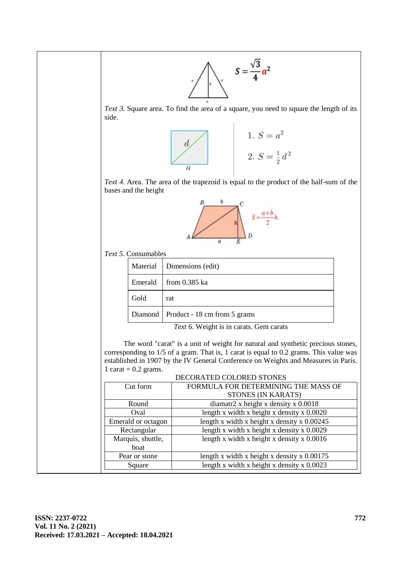

*Text 3*. Square area. To find the area of a square, you need to square the length of its side.



*Text 4.* Area. The area of the trapezoid is equal to the product of the half-sum of the bases and the height



*Text 5.* Consumables

|         | Material   Dimensions (edit)                                     |
|---------|------------------------------------------------------------------|
| Emerald | from $0.385$ ka                                                  |
| Gold    | rat                                                              |
|         | Diamond   Product - 18 cm from 5 grams                           |
|         | $\pi$ . $\epsilon$ was in the $\epsilon$<br>$\sim$ $\sim$ $\sim$ |

*Text 6.* Weight is in carats. Gem carats

The word "carat" is a unit of weight for natural and synthetic precious stones, corresponding to 1/5 of a gram. That is, 1 carat is equal to 0.2 grams. This value was established in 1907 by the IV General Conference on Weights and Measures in Paris. 1 carat =  $0.2$  grams.

|                    | DECORATED COLORED STONES                      |
|--------------------|-----------------------------------------------|
| Cut form           | FORMULA FOR DETERMINING THE MASS OF           |
|                    | STONES (IN KARATS)                            |
| Round              | diamatr2 x height x density x $0.0018$        |
| Oval               | length x width x height x density x $0.0020$  |
| Emerald or octagon | length x width x height x density x $0.00245$ |
| Rectangular        | length x width x height x density x 0.0029    |
| Marquis, shuttle,  | length x width x height x density x $0.0016$  |
| boat               |                                               |
| Pear or stone      | length x width x height x density x $0.00175$ |
| Square             | length x width x height x density x $0.0023$  |
|                    |                                               |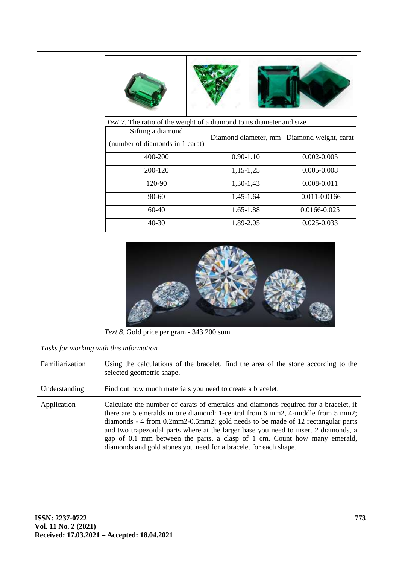|                                         | Text 7. The ratio of the weight of a diamond to its diameter and size<br>Sifting a diamond<br>(number of diamonds in 1 carat)<br>400-200<br>200-120                                                                                                                                                                                                                                                                                                                                              | Diamond diameter, mm<br>$0.90 - 1.10$<br>$1,15-1,25$ | Diamond weight, carat<br>$0.002 - 0.005$<br>$0.005 - 0.008$ |  |  |  |  |  |  |
|-----------------------------------------|--------------------------------------------------------------------------------------------------------------------------------------------------------------------------------------------------------------------------------------------------------------------------------------------------------------------------------------------------------------------------------------------------------------------------------------------------------------------------------------------------|------------------------------------------------------|-------------------------------------------------------------|--|--|--|--|--|--|
|                                         | 120-90                                                                                                                                                                                                                                                                                                                                                                                                                                                                                           | $1,30-1,43$                                          | $0.008 - 0.011$                                             |  |  |  |  |  |  |
|                                         | 90-60                                                                                                                                                                                                                                                                                                                                                                                                                                                                                            | 1.45-1.64                                            | 0.011-0.0166                                                |  |  |  |  |  |  |
|                                         | 60-40                                                                                                                                                                                                                                                                                                                                                                                                                                                                                            | 1.65-1.88                                            | 0.0166-0.025                                                |  |  |  |  |  |  |
|                                         | 40-30                                                                                                                                                                                                                                                                                                                                                                                                                                                                                            | 1.89-2.05                                            | 0.025-0.033                                                 |  |  |  |  |  |  |
|                                         | Text 8. Gold price per gram - 343 200 sum                                                                                                                                                                                                                                                                                                                                                                                                                                                        |                                                      |                                                             |  |  |  |  |  |  |
| Tasks for working with this information |                                                                                                                                                                                                                                                                                                                                                                                                                                                                                                  |                                                      |                                                             |  |  |  |  |  |  |
| Familiarization                         | Using the calculations of the bracelet, find the area of the stone according to the<br>selected geometric shape.                                                                                                                                                                                                                                                                                                                                                                                 |                                                      |                                                             |  |  |  |  |  |  |
| Understanding                           | Find out how much materials you need to create a bracelet.                                                                                                                                                                                                                                                                                                                                                                                                                                       |                                                      |                                                             |  |  |  |  |  |  |
| Application                             | Calculate the number of carats of emeralds and diamonds required for a bracelet, if<br>there are 5 emeralds in one diamond: 1-central from 6 mm2, 4-middle from 5 mm2;<br>diamonds - 4 from 0.2mm2-0.5mm2; gold needs to be made of 12 rectangular parts<br>and two trapezoidal parts where at the larger base you need to insert 2 diamonds, a<br>gap of 0.1 mm between the parts, a clasp of 1 cm. Count how many emerald,<br>diamonds and gold stones you need for a bracelet for each shape. |                                                      |                                                             |  |  |  |  |  |  |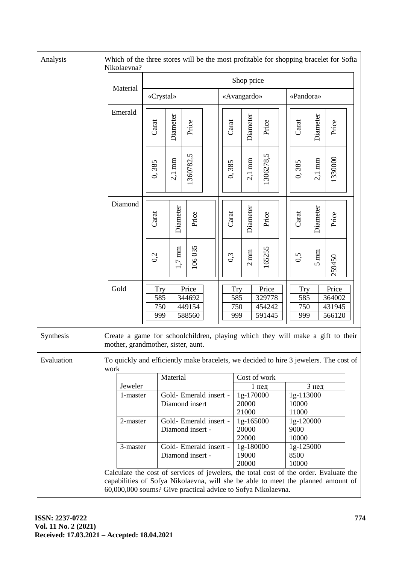| Analysis   | Which of the three stores will be the most profitable for shopping bracelet for Sofia<br>Nikolaevna?                                                                                                                                      |                                                                                                                      |                                            |                                            |                                     |  |                                        |                                 |                  |                                      |  |                                 |                  |                                     |  |
|------------|-------------------------------------------------------------------------------------------------------------------------------------------------------------------------------------------------------------------------------------------|----------------------------------------------------------------------------------------------------------------------|--------------------------------------------|--------------------------------------------|-------------------------------------|--|----------------------------------------|---------------------------------|------------------|--------------------------------------|--|---------------------------------|------------------|-------------------------------------|--|
|            |                                                                                                                                                                                                                                           | Material                                                                                                             | Shop price                                 |                                            |                                     |  |                                        |                                 |                  |                                      |  |                                 |                  |                                     |  |
|            |                                                                                                                                                                                                                                           |                                                                                                                      | «Crystal»                                  |                                            |                                     |  | «Avangardo»                            |                                 |                  |                                      |  | «Pandora»                       |                  |                                     |  |
|            |                                                                                                                                                                                                                                           | Emerald                                                                                                              | Carat                                      | Diameter                                   | Price                               |  |                                        | Carat                           | Diameter         | Price                                |  | Carat                           | Diameter         | Price                               |  |
|            |                                                                                                                                                                                                                                           |                                                                                                                      | 0,385                                      | $2,1~\mathrm{mm}$                          | 1360782,5                           |  |                                        | 0,385                           | $2,1 \text{ mm}$ | 1306278,5                            |  | 0,385                           | $2,1 \text{ mm}$ | 1330000                             |  |
|            |                                                                                                                                                                                                                                           | Diamond                                                                                                              | Carat                                      | Diameter                                   | Price                               |  |                                        | Carat                           | Diameter         | Price                                |  | Carat                           | Diameter         | Price                               |  |
|            |                                                                                                                                                                                                                                           |                                                                                                                      | 0,2                                        | $1,7~\mathrm{mm}$                          | 106035                              |  |                                        | 0,3                             | $2\;\mathrm{mm}$ | 165255                               |  | 0,5                             | $5 \mathrm{~mm}$ | 259450                              |  |
|            |                                                                                                                                                                                                                                           | Gold                                                                                                                 | <b>Try</b><br>585<br>750<br>999            |                                            | Price<br>344692<br>449154<br>588560 |  |                                        | <b>Try</b><br>585<br>750<br>999 |                  | Price<br>329778<br>454242<br>591445  |  | <b>Try</b><br>585<br>750<br>999 |                  | Price<br>364002<br>431945<br>566120 |  |
| Synthesis  |                                                                                                                                                                                                                                           | Create a game for schoolchildren, playing which they will make a gift to their<br>mother, grandmother, sister, aunt. |                                            |                                            |                                     |  |                                        |                                 |                  |                                      |  |                                 |                  |                                     |  |
| Evaluation | work                                                                                                                                                                                                                                      | To quickly and efficiently make bracelets, we decided to hire 3 jewelers. The cost of                                |                                            |                                            |                                     |  |                                        |                                 |                  |                                      |  |                                 |                  |                                     |  |
|            |                                                                                                                                                                                                                                           | Jeweler                                                                                                              |                                            | Material                                   |                                     |  |                                        |                                 |                  | Cost of work                         |  |                                 |                  |                                     |  |
|            |                                                                                                                                                                                                                                           | 1-master                                                                                                             |                                            | Gold- Emerald insert -<br>Diamond insert   |                                     |  | $1$ нед<br>1g-170000<br>20000<br>21000 |                                 |                  | 3 нед<br>1g-113000<br>10000<br>11000 |  |                                 |                  |                                     |  |
|            |                                                                                                                                                                                                                                           | 2-master                                                                                                             |                                            | Gold- Emerald insert -<br>Diamond insert - |                                     |  |                                        | 1g-165000<br>20000<br>22000     |                  | 1g-120000<br>9000<br>10000           |  |                                 |                  |                                     |  |
|            |                                                                                                                                                                                                                                           | 3-master                                                                                                             | Gold- Emerald insert -<br>Diamond insert - |                                            |                                     |  |                                        | 1g-180000<br>19000<br>20000     |                  |                                      |  | 1g-125000<br>8500<br>10000      |                  |                                     |  |
|            | Calculate the cost of services of jewelers, the total cost of the order. Evaluate the<br>capabilities of Sofya Nikolaevna, will she be able to meet the planned amount of<br>60,000,000 soums? Give practical advice to Sofya Nikolaevna. |                                                                                                                      |                                            |                                            |                                     |  |                                        |                                 |                  |                                      |  |                                 |                  |                                     |  |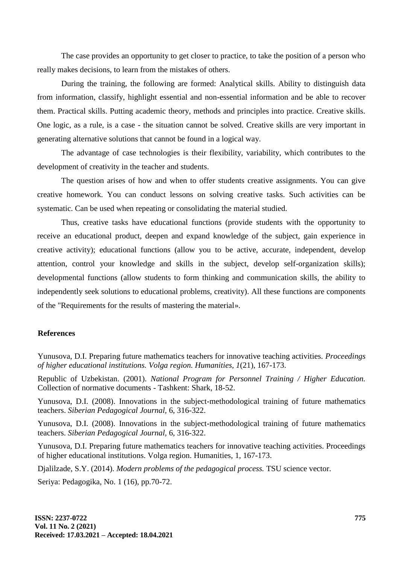The case provides an opportunity to get closer to practice, to take the position of a person who really makes decisions, to learn from the mistakes of others.

During the training, the following are formed: Analytical skills. Ability to distinguish data from information, classify, highlight essential and non-essential information and be able to recover them. Practical skills. Putting academic theory, methods and principles into practice. Creative skills. One logic, as a rule, is a case - the situation cannot be solved. Creative skills are very important in generating alternative solutions that cannot be found in a logical way.

The advantage of case technologies is their flexibility, variability, which contributes to the development of creativity in the teacher and students.

The question arises of how and when to offer students creative assignments. You can give creative homework. You can conduct lessons on solving creative tasks. Such activities can be systematic. Can be used when repeating or consolidating the material studied.

Thus, creative tasks have educational functions (provide students with the opportunity to receive an educational product, deepen and expand knowledge of the subject, gain experience in creative activity); educational functions (allow you to be active, accurate, independent, develop attention, control your knowledge and skills in the subject, develop self-organization skills); developmental functions (allow students to form thinking and communication skills, the ability to independently seek solutions to educational problems, creativity). All these functions are components of the "Requirements for the results of mastering the material».

### **References**

Yunusova, D.I. Preparing future mathematics teachers for innovative teaching activities. *Proceedings of higher educational institutions. Volga region. Humanities, 1*(21), 167-173.

Republic of Uzbekistan. (2001). *National Program for Personnel Training / Higher Education.* Collection of normative documents - Tashkent: Shark, 18-52.

Yunusova, D.I. (2008). Innovations in the subject-methodological training of future mathematics teachers. *Siberian Pedagogical Journal,* 6, 316-322.

Yunusova, D.I. (2008). Innovations in the subject-methodological training of future mathematics teachers. *Siberian Pedagogical Journal,* 6, 316-322.

Yunusova, D.I. Preparing future mathematics teachers for innovative teaching activities. Proceedings of higher educational institutions. Volga region. Humanities, 1, 167-173.

Djalilzade, S.Y. (2014). *Modern problems of the pedagogical process.* TSU science vector.

Seriya: Pedagogika, No. 1 (16), pp.70-72.